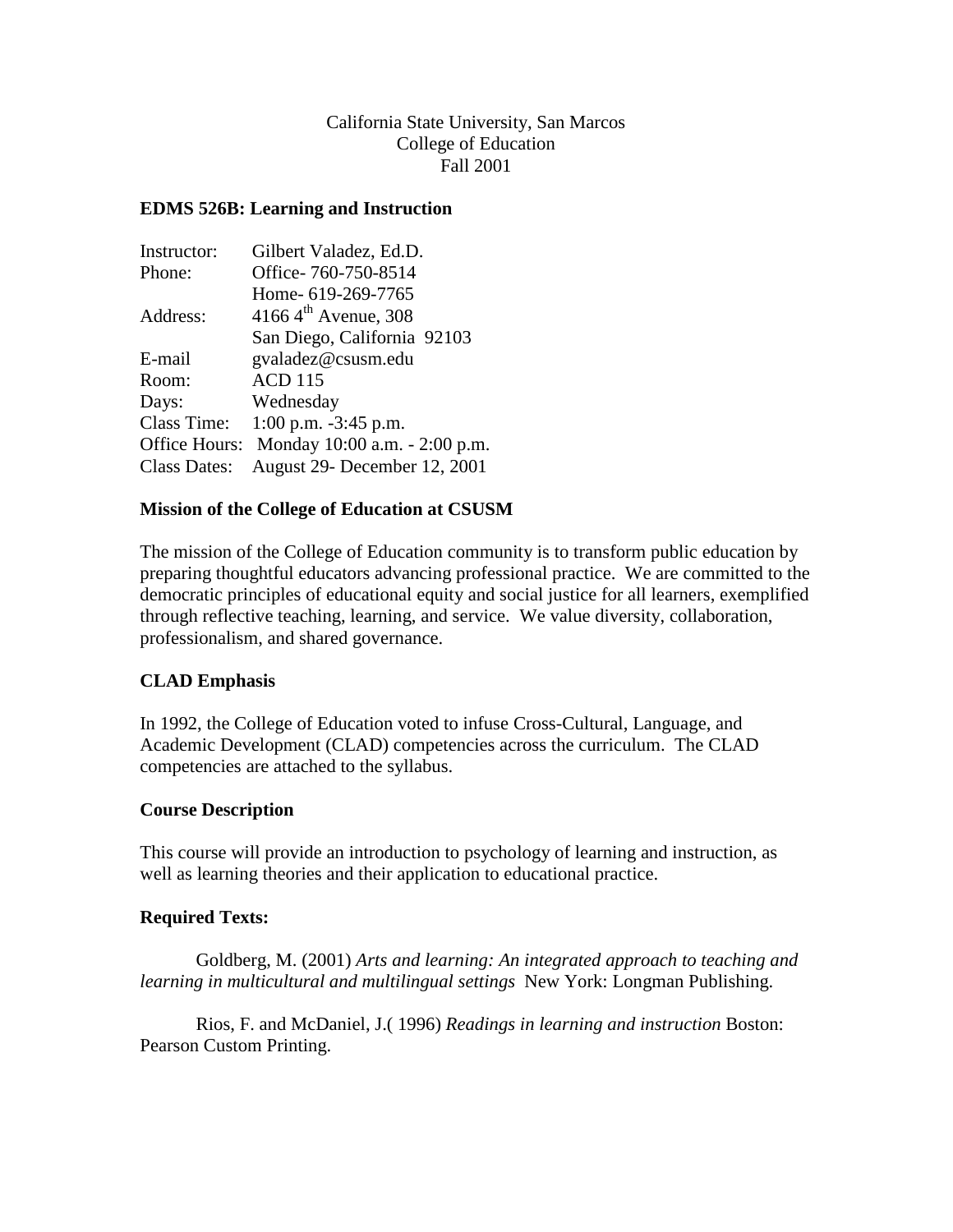# California State University, San Marcos College of Education Fall 2001

## **EDMS 526B: Learning and Instruction**

| Instructor:         | Gilbert Valadez, Ed.D.               |
|---------------------|--------------------------------------|
| Phone:              | Office-760-750-8514                  |
|                     | Home- 619-269-7765                   |
| Address:            | 4166 4 <sup>th</sup> Avenue, 308     |
|                     | San Diego, California 92103          |
| E-mail              | gvaladez@csusm.edu                   |
| Room:               | <b>ACD 115</b>                       |
| Days:               | Wednesday                            |
|                     | Class Time: $1:00$ p.m. $-3:45$ p.m. |
| Office Hours:       | Monday 10:00 a.m. - 2:00 p.m.        |
| <b>Class Dates:</b> | August 29- December 12, 2001         |

#### **Mission of the College of Education at CSUSM**

The mission of the College of Education community is to transform public education by preparing thoughtful educators advancing professional practice. We are committed to the democratic principles of educational equity and social justice for all learners, exemplified through reflective teaching, learning, and service. We value diversity, collaboration, professionalism, and shared governance.

#### **CLAD Emphasis**

In 1992, the College of Education voted to infuse Cross-Cultural, Language, and Academic Development (CLAD) competencies across the curriculum. The CLAD competencies are attached to the syllabus.

#### **Course Description**

This course will provide an introduction to psychology of learning and instruction, as well as learning theories and their application to educational practice.

#### **Required Texts:**

Goldberg, M. (2001) *Arts and learning: An integrated approach to teaching and learning in multicultural and multilingual settings* New York: Longman Publishing.

Rios, F. and McDaniel, J.( 1996) *Readings in learning and instruction* Boston: Pearson Custom Printing.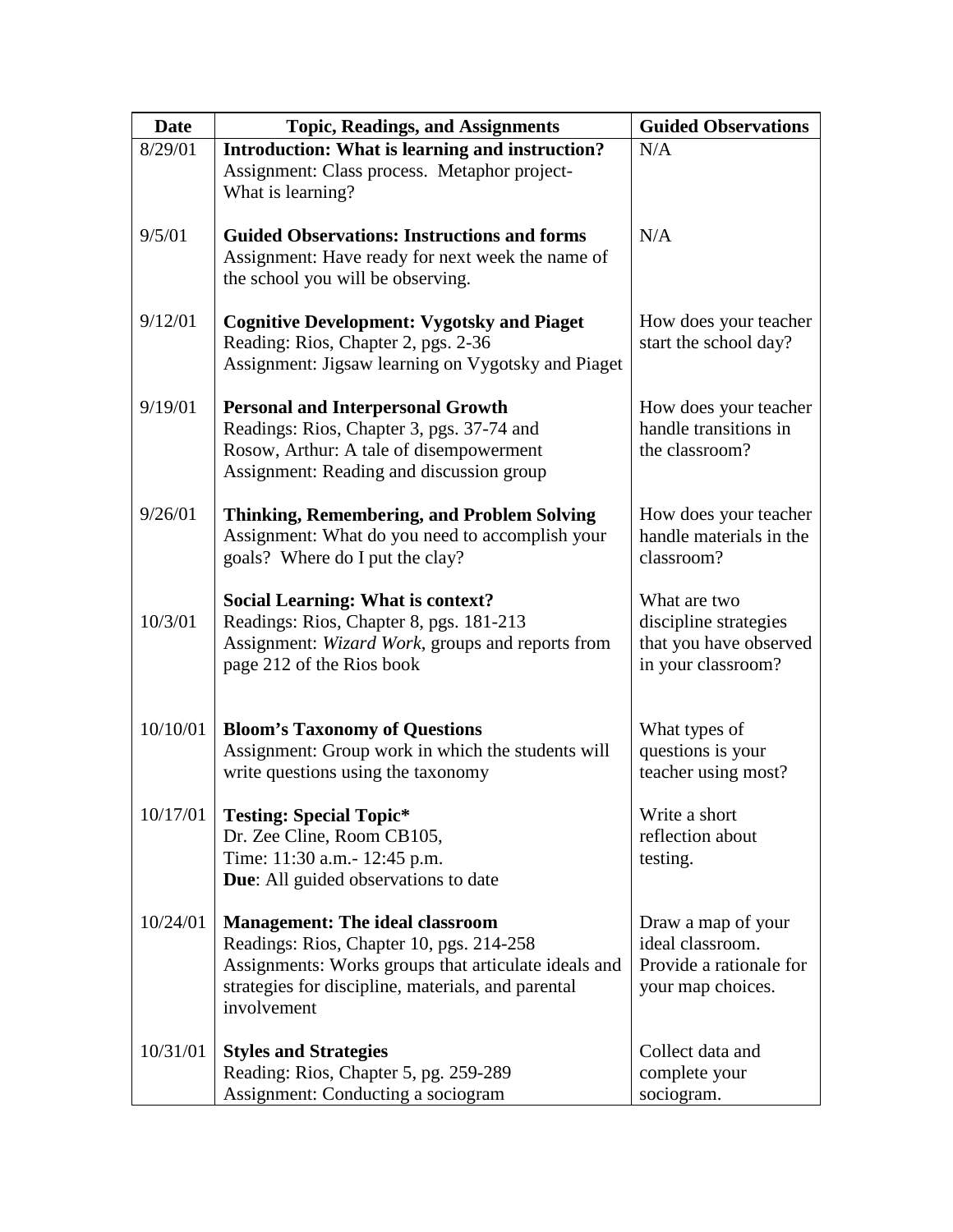| <b>Date</b> | <b>Topic, Readings, and Assignments</b>                                                                                                                                                                         | <b>Guided Observations</b>                                                             |
|-------------|-----------------------------------------------------------------------------------------------------------------------------------------------------------------------------------------------------------------|----------------------------------------------------------------------------------------|
| 8/29/01     | Introduction: What is learning and instruction?<br>Assignment: Class process. Metaphor project-<br>What is learning?                                                                                            | N/A                                                                                    |
| 9/5/01      | <b>Guided Observations: Instructions and forms</b><br>Assignment: Have ready for next week the name of<br>the school you will be observing.                                                                     | N/A                                                                                    |
| 9/12/01     | <b>Cognitive Development: Vygotsky and Piaget</b><br>Reading: Rios, Chapter 2, pgs. 2-36<br>Assignment: Jigsaw learning on Vygotsky and Piaget                                                                  | How does your teacher<br>start the school day?                                         |
| 9/19/01     | <b>Personal and Interpersonal Growth</b><br>Readings: Rios, Chapter 3, pgs. 37-74 and<br>Rosow, Arthur: A tale of disempowerment<br>Assignment: Reading and discussion group                                    | How does your teacher<br>handle transitions in<br>the classroom?                       |
| 9/26/01     | <b>Thinking, Remembering, and Problem Solving</b><br>Assignment: What do you need to accomplish your<br>goals? Where do I put the clay?                                                                         | How does your teacher<br>handle materials in the<br>classroom?                         |
| 10/3/01     | <b>Social Learning: What is context?</b><br>Readings: Rios, Chapter 8, pgs. 181-213<br>Assignment: Wizard Work, groups and reports from<br>page 212 of the Rios book                                            | What are two<br>discipline strategies<br>that you have observed<br>in your classroom?  |
| 10/10/01    | <b>Bloom's Taxonomy of Questions</b><br>Assignment: Group work in which the students will<br>write questions using the taxonomy                                                                                 | What types of<br>questions is your<br>teacher using most?                              |
| 10/17/01    | <b>Testing: Special Topic*</b><br>Dr. Zee Cline, Room CB105,<br>Time: 11:30 a.m. - 12:45 p.m.<br>Due: All guided observations to date                                                                           | Write a short<br>reflection about<br>testing.                                          |
| 10/24/01    | <b>Management: The ideal classroom</b><br>Readings: Rios, Chapter 10, pgs. 214-258<br>Assignments: Works groups that articulate ideals and<br>strategies for discipline, materials, and parental<br>involvement | Draw a map of your<br>ideal classroom.<br>Provide a rationale for<br>your map choices. |
| 10/31/01    | <b>Styles and Strategies</b><br>Reading: Rios, Chapter 5, pg. 259-289<br>Assignment: Conducting a sociogram                                                                                                     | Collect data and<br>complete your<br>sociogram.                                        |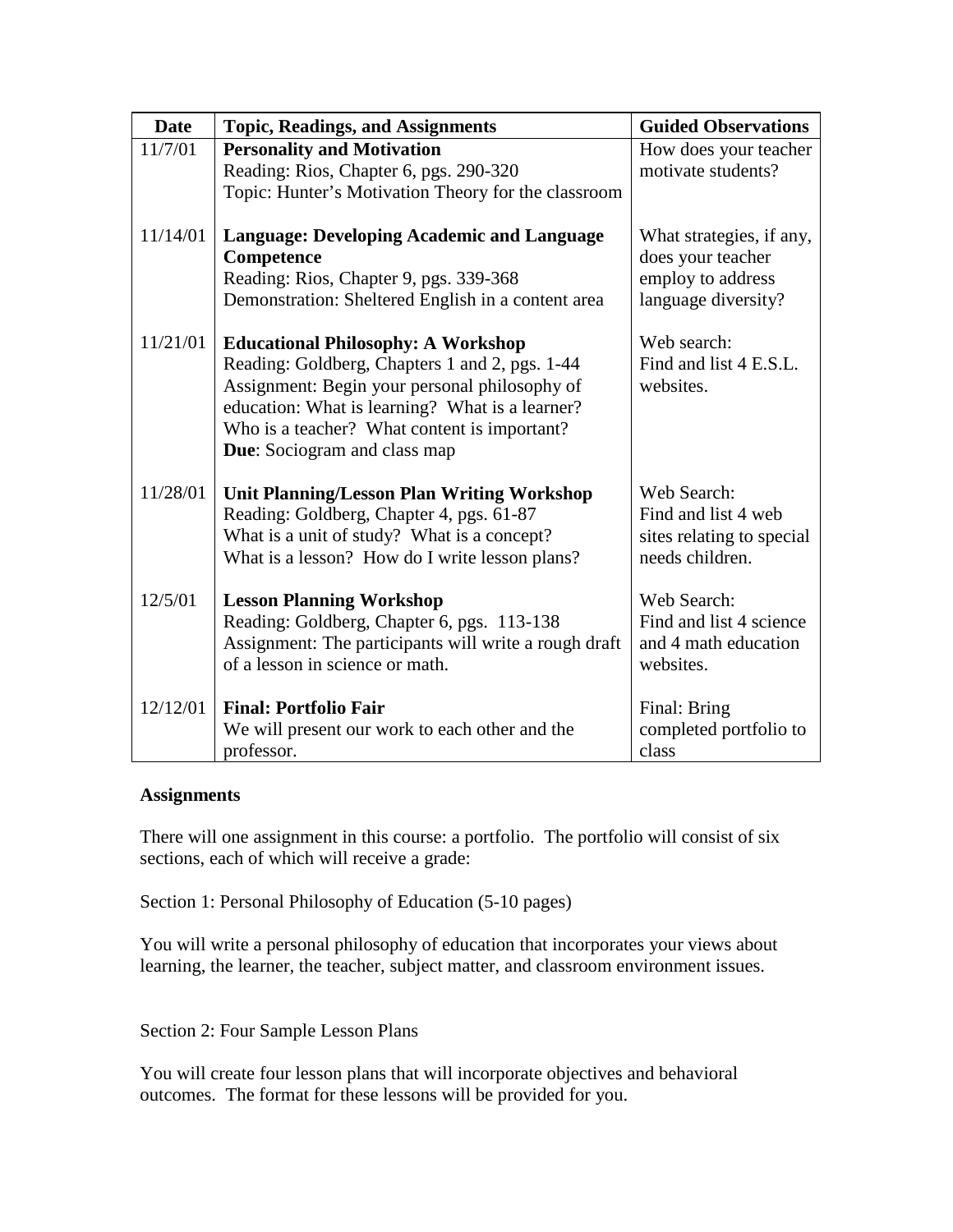| <b>Date</b> | <b>Topic, Readings, and Assignments</b>                                                                                                                                                                                                                                                | <b>Guided Observations</b>                                                                |
|-------------|----------------------------------------------------------------------------------------------------------------------------------------------------------------------------------------------------------------------------------------------------------------------------------------|-------------------------------------------------------------------------------------------|
| 11/7/01     | <b>Personality and Motivation</b><br>Reading: Rios, Chapter 6, pgs. 290-320<br>Topic: Hunter's Motivation Theory for the classroom                                                                                                                                                     | How does your teacher<br>motivate students?                                               |
| 11/14/01    | <b>Language: Developing Academic and Language</b><br>Competence<br>Reading: Rios, Chapter 9, pgs. 339-368<br>Demonstration: Sheltered English in a content area                                                                                                                        | What strategies, if any,<br>does your teacher<br>employ to address<br>language diversity? |
| 11/21/01    | <b>Educational Philosophy: A Workshop</b><br>Reading: Goldberg, Chapters 1 and 2, pgs. 1-44<br>Assignment: Begin your personal philosophy of<br>education: What is learning? What is a learner?<br>Who is a teacher? What content is important?<br><b>Due:</b> Sociogram and class map | Web search:<br>Find and list 4 E.S.L.<br>websites.                                        |
| 11/28/01    | <b>Unit Planning/Lesson Plan Writing Workshop</b><br>Reading: Goldberg, Chapter 4, pgs. 61-87<br>What is a unit of study? What is a concept?<br>What is a lesson? How do I write lesson plans?                                                                                         | Web Search:<br>Find and list 4 web<br>sites relating to special<br>needs children.        |
| 12/5/01     | <b>Lesson Planning Workshop</b><br>Reading: Goldberg, Chapter 6, pgs. 113-138<br>Assignment: The participants will write a rough draft<br>of a lesson in science or math.                                                                                                              | Web Search:<br>Find and list 4 science<br>and 4 math education<br>websites.               |
| 12/12/01    | <b>Final: Portfolio Fair</b><br>We will present our work to each other and the<br>professor.                                                                                                                                                                                           | Final: Bring<br>completed portfolio to<br>class                                           |

## **Assignments**

There will one assignment in this course: a portfolio. The portfolio will consist of six sections, each of which will receive a grade:

Section 1: Personal Philosophy of Education (5-10 pages)

You will write a personal philosophy of education that incorporates your views about learning, the learner, the teacher, subject matter, and classroom environment issues.

Section 2: Four Sample Lesson Plans

You will create four lesson plans that will incorporate objectives and behavioral outcomes. The format for these lessons will be provided for you.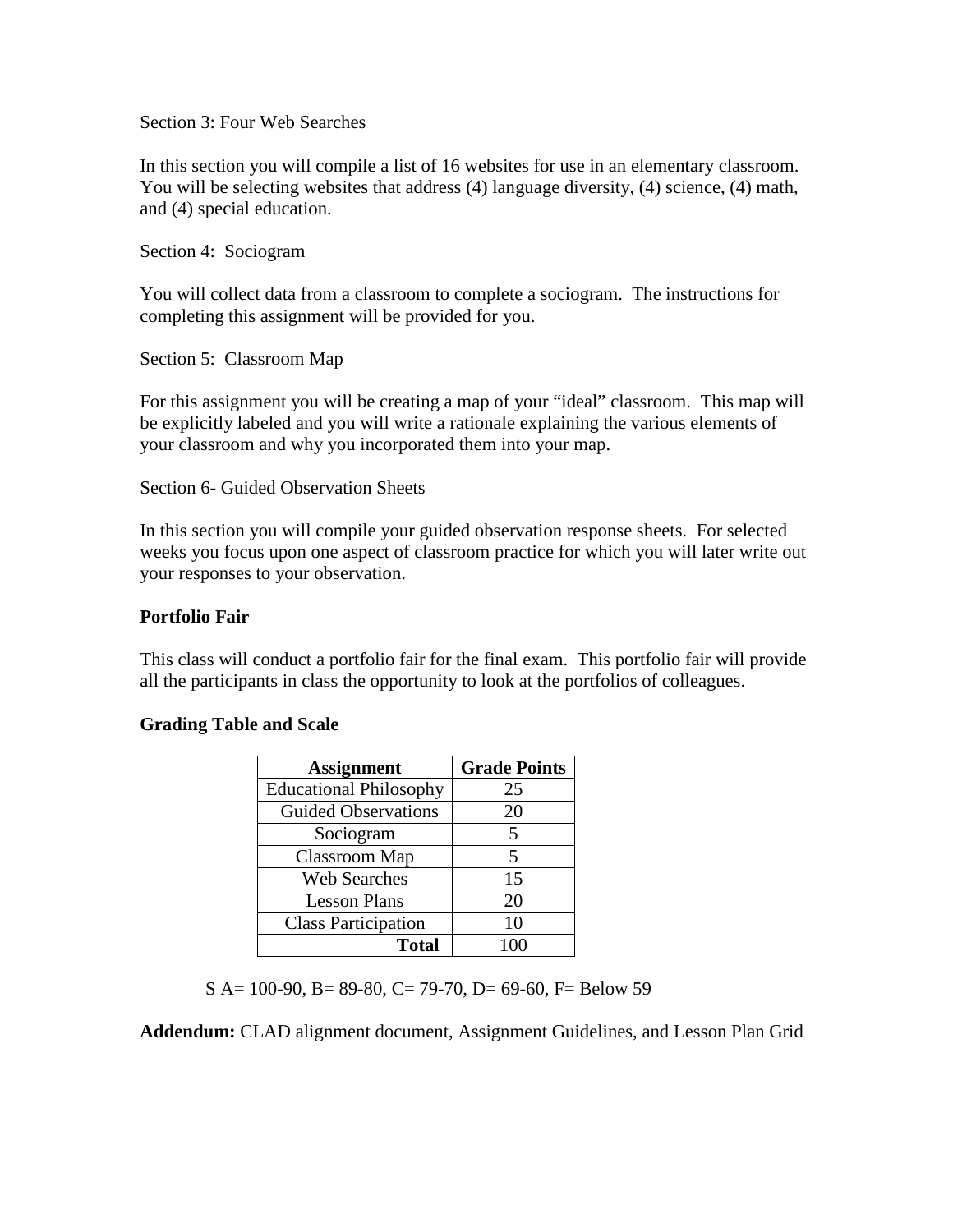Section 3: Four Web Searches

In this section you will compile a list of 16 websites for use in an elementary classroom. You will be selecting websites that address (4) language diversity, (4) science, (4) math, and (4) special education.

Section 4: Sociogram

You will collect data from a classroom to complete a sociogram. The instructions for completing this assignment will be provided for you.

Section 5: Classroom Map

For this assignment you will be creating a map of your "ideal" classroom. This map will be explicitly labeled and you will write a rationale explaining the various elements of your classroom and why you incorporated them into your map.

Section 6- Guided Observation Sheets

In this section you will compile your guided observation response sheets. For selected weeks you focus upon one aspect of classroom practice for which you will later write out your responses to your observation.

## **Portfolio Fair**

This class will conduct a portfolio fair for the final exam. This portfolio fair will provide all the participants in class the opportunity to look at the portfolios of colleagues.

## **Grading Table and Scale**

| <b>Assignment</b>             | <b>Grade Points</b> |
|-------------------------------|---------------------|
| <b>Educational Philosophy</b> | 25                  |
| <b>Guided Observations</b>    | 20                  |
| Sociogram                     | 5                   |
| Classroom Map                 | 5                   |
| <b>Web Searches</b>           | 15                  |
| <b>Lesson Plans</b>           | 20                  |
| <b>Class Participation</b>    | 10                  |
| <b>Total</b>                  | 100                 |

S A= 100-90, B= 89-80, C= 79-70, D= 69-60, F= Below 59

**Addendum:** CLAD alignment document, Assignment Guidelines, and Lesson Plan Grid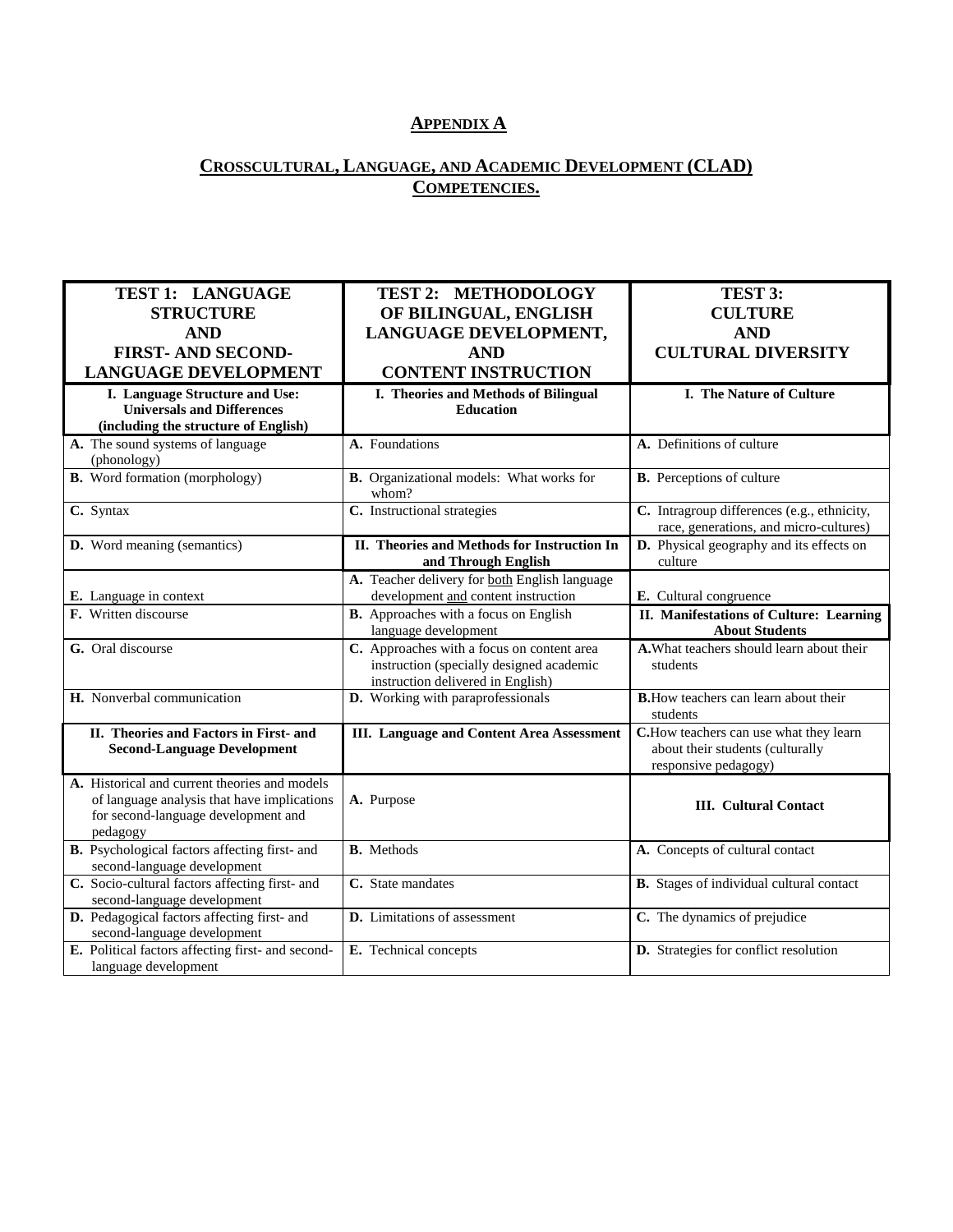# **APPENDIX A**

# **CROSSCULTURAL, LANGUAGE, AND ACADEMIC DEVELOPMENT (CLAD) COMPETENCIES.**

| TEST 1: LANGUAGE                                  | <b>TEST 2: METHODOLOGY</b>                         | TEST 3:                                         |
|---------------------------------------------------|----------------------------------------------------|-------------------------------------------------|
| <b>STRUCTURE</b>                                  | OF BILINGUAL, ENGLISH                              | <b>CULTURE</b>                                  |
| <b>AND</b>                                        |                                                    | <b>AND</b>                                      |
|                                                   | LANGUAGE DEVELOPMENT,                              |                                                 |
| <b>FIRST-AND SECOND-</b>                          | <b>AND</b>                                         | <b>CULTURAL DIVERSITY</b>                       |
| <b>LANGUAGE DEVELOPMENT</b>                       | <b>CONTENT INSTRUCTION</b>                         |                                                 |
| I. Language Structure and Use:                    | I. Theories and Methods of Bilingual               | I. The Nature of Culture                        |
| <b>Universals and Differences</b>                 | <b>Education</b>                                   |                                                 |
| (including the structure of English)              |                                                    |                                                 |
| A. The sound systems of language                  | A. Foundations                                     | A. Definitions of culture                       |
| (phonology)                                       |                                                    |                                                 |
| <b>B.</b> Word formation (morphology)             | B. Organizational models: What works for<br>whom?  | <b>B.</b> Perceptions of culture                |
| C. Syntax                                         | C. Instructional strategies                        | C. Intragroup differences (e.g., ethnicity,     |
|                                                   |                                                    | race, generations, and micro-cultures)          |
| D. Word meaning (semantics)                       | <b>II.</b> Theories and Methods for Instruction In | <b>D.</b> Physical geography and its effects on |
|                                                   | and Through English                                | culture                                         |
|                                                   | A. Teacher delivery for both English language      |                                                 |
| E. Language in context                            | development and content instruction                | E. Cultural congruence                          |
| F. Written discourse                              | <b>B.</b> Approaches with a focus on English       | II. Manifestations of Culture: Learning         |
|                                                   | language development                               | <b>About Students</b>                           |
| G. Oral discourse                                 | C. Approaches with a focus on content area         | A. What teachers should learn about their       |
|                                                   | instruction (specially designed academic           | students                                        |
|                                                   | instruction delivered in English)                  |                                                 |
| H. Nonverbal communication                        | D. Working with paraprofessionals                  | <b>B.</b> How teachers can learn about their    |
|                                                   |                                                    | students                                        |
| II. Theories and Factors in First- and            | <b>III.</b> Language and Content Area Assessment   | C.How teachers can use what they learn          |
| <b>Second-Language Development</b>                |                                                    | about their students (culturally                |
| A. Historical and current theories and models     |                                                    | responsive pedagogy)                            |
| of language analysis that have implications       | A. Purpose                                         |                                                 |
| for second-language development and               |                                                    | <b>III.</b> Cultural Contact                    |
| pedagogy                                          |                                                    |                                                 |
| B. Psychological factors affecting first- and     | <b>B.</b> Methods                                  | A. Concepts of cultural contact                 |
| second-language development                       |                                                    |                                                 |
| C. Socio-cultural factors affecting first- and    | C. State mandates                                  | <b>B.</b> Stages of individual cultural contact |
| second-language development                       |                                                    |                                                 |
| D. Pedagogical factors affecting first- and       | D. Limitations of assessment                       | C. The dynamics of prejudice                    |
| second-language development                       |                                                    |                                                 |
| E. Political factors affecting first- and second- | E. Technical concepts                              | D. Strategies for conflict resolution           |
| language development                              |                                                    |                                                 |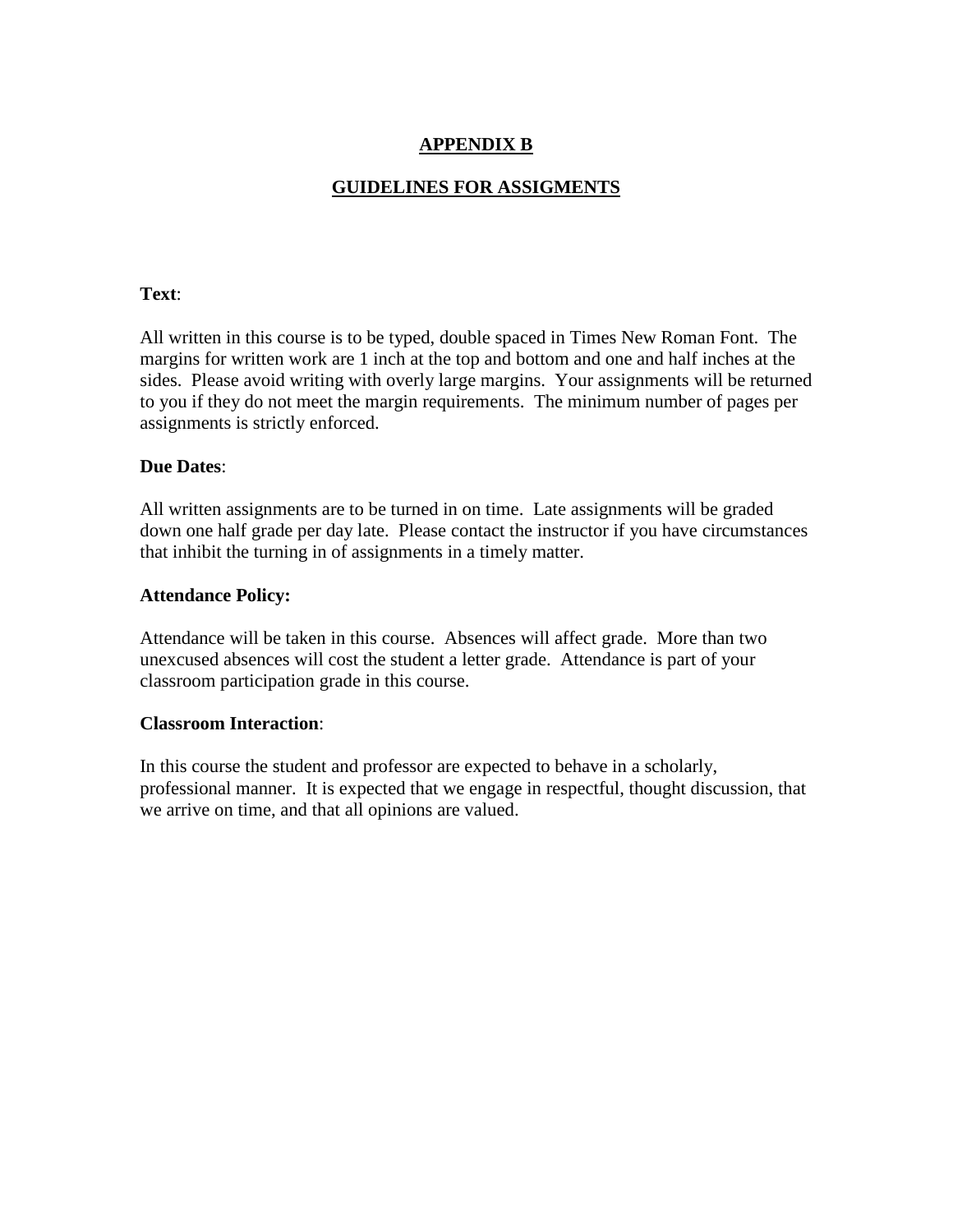# **APPENDIX B**

# **GUIDELINES FOR ASSIGMENTS**

## **Text**:

All written in this course is to be typed, double spaced in Times New Roman Font. The margins for written work are 1 inch at the top and bottom and one and half inches at the sides. Please avoid writing with overly large margins. Your assignments will be returned to you if they do not meet the margin requirements. The minimum number of pages per assignments is strictly enforced.

#### **Due Dates**:

All written assignments are to be turned in on time. Late assignments will be graded down one half grade per day late. Please contact the instructor if you have circumstances that inhibit the turning in of assignments in a timely matter.

## **Attendance Policy:**

Attendance will be taken in this course. Absences will affect grade. More than two unexcused absences will cost the student a letter grade. Attendance is part of your classroom participation grade in this course.

#### **Classroom Interaction**:

In this course the student and professor are expected to behave in a scholarly, professional manner. It is expected that we engage in respectful, thought discussion, that we arrive on time, and that all opinions are valued.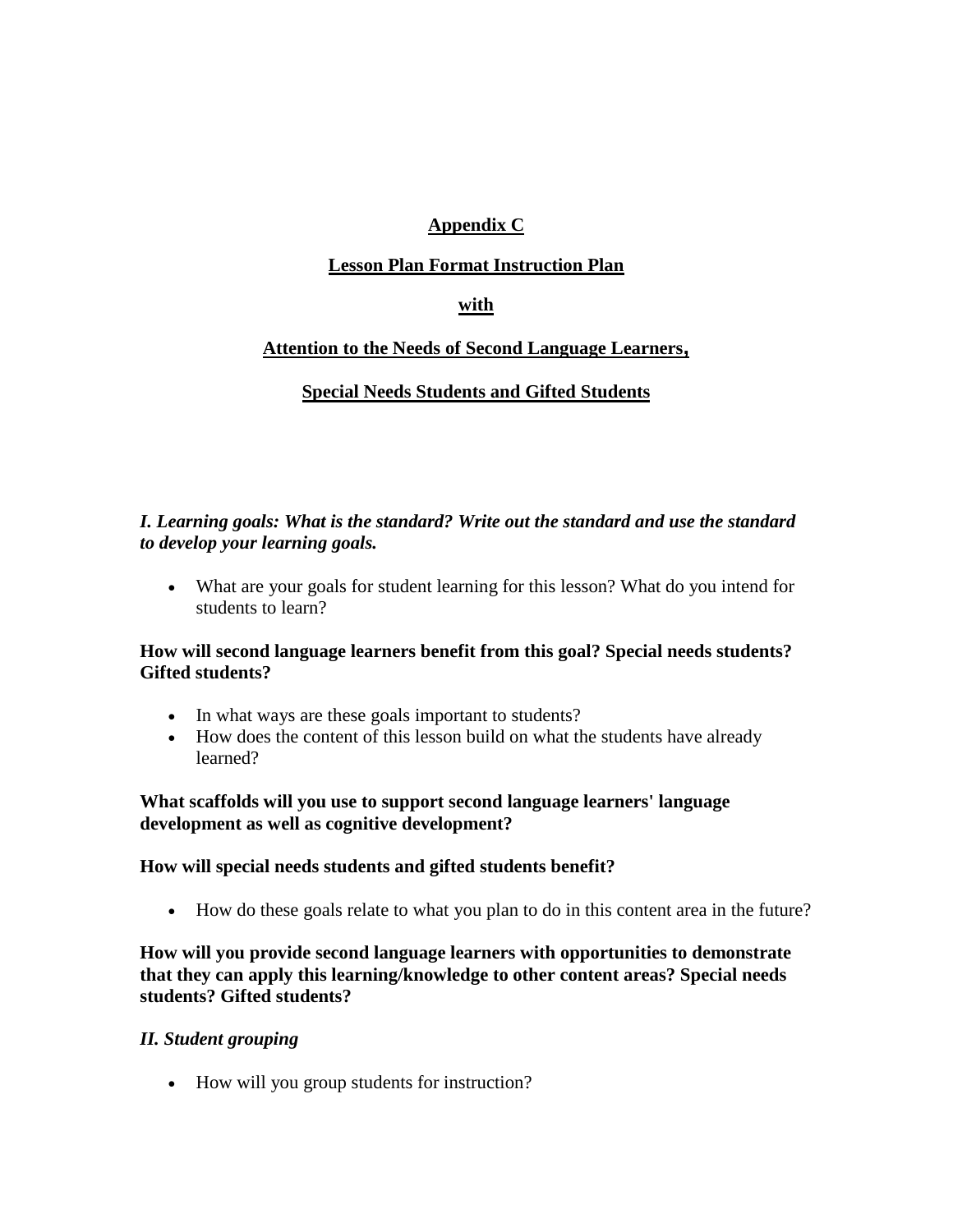# **Appendix C**

# **Lesson Plan Format Instruction Plan**

# **with**

# **Attention to the Needs of Second Language Learners,**

# **Special Needs Students and Gifted Students**

# *I. Learning goals: What is the standard? Write out the standard and use the standard to develop your learning goals.*

• What are your goals for student learning for this lesson? What do you intend for students to learn?

# **How will second language learners benefit from this goal? Special needs students? Gifted students?**

- In what ways are these goals important to students?
- How does the content of this lesson build on what the students have already learned?

## **What scaffolds will you use to support second language learners' language development as well as cognitive development?**

## **How will special needs students and gifted students benefit?**

• How do these goals relate to what you plan to do in this content area in the future?

**How will you provide second language learners with opportunities to demonstrate that they can apply this learning/knowledge to other content areas? Special needs students? Gifted students?**

## *II. Student grouping*

• How will you group students for instruction?